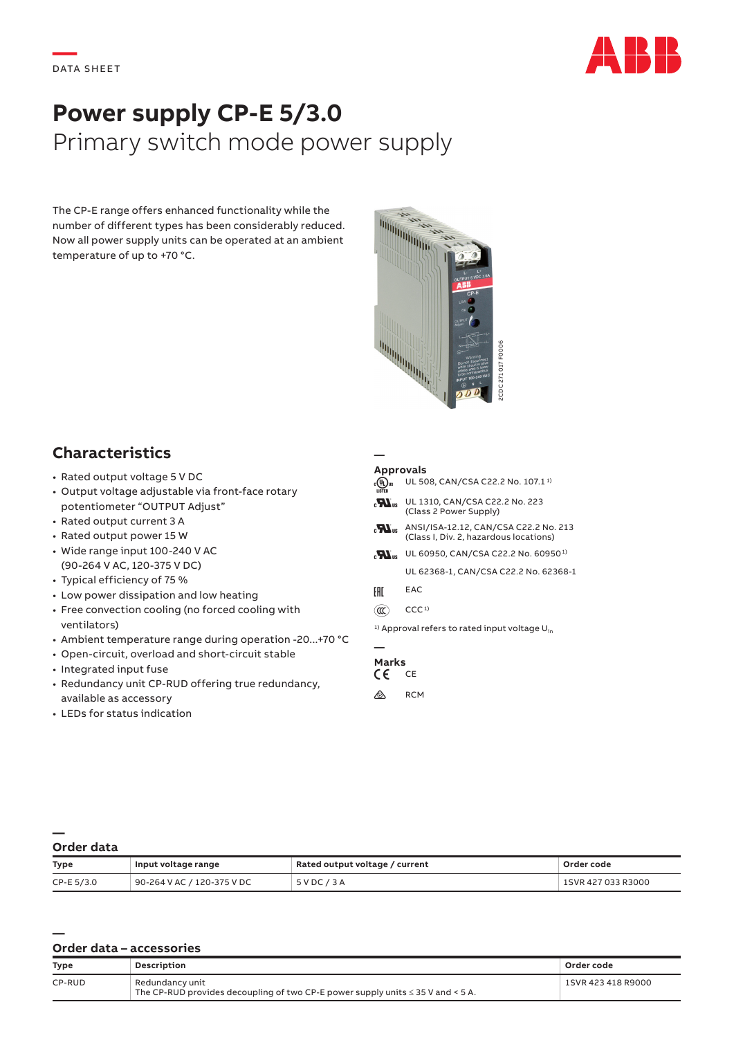

# **Power supply CP-E 5/3.0** Primary switch mode power supply

The CP-E range offers enhanced functionality while the number of different types has been considerably reduced. Now all power supply units can be operated at an ambient temperature of up to +70 °C.



## **Characteristics**

- Rated output voltage 5 V DC
- Output voltage adjustable via front-face rotary potentiometer "OUTPUT Adjust"
- Rated output current 3 A
- Rated output power 15 W
- Wide range input 100‑240 V AC (90‑264 V AC, 120‑375 V DC)
- Typical efficiency of 75 %
- Low power dissipation and low heating
- Free convection cooling (no forced cooling with ventilators)
- Ambient temperature range during operation ‑20...+70 °C
- Open‑circuit, overload and short‑circuit stable
- Integrated input fuse
- Redundancy unit CP‑RUD offering true redundancy, available as accessory
- LEDs for status indication

### **Approvals**

**—**

| $_{\rm c}$ (U) $_{\rm us}$<br><b>LISTED</b> | UL 508, CAN/CSA C22.2 No. 107.1 <sup>1)</sup>                                  |
|---------------------------------------------|--------------------------------------------------------------------------------|
|                                             | $_{c}\mathbf{W}_{us}$ UL 1310, CAN/CSA C22.2 No. 223<br>(Class 2 Power Supply) |

- $\mathbf{H}_{\text{us}}$  ANSI/ISA-12.12, CAN/CSA C22.2 No. 213 (Class I, Div. 2, hazardous locations)
- M<sub>is</sub> UL 60950, CAN/CSA C22.2 No. 60950<sup>1)</sup>

UL 62368-1, CAN/CSA C22.2 No. 62368-1

- FHI EAC
- $(\mathfrak{m})$  CCC<sup>1)</sup>

<sup>1)</sup> Approval refers to rated input voltage  $U_{in}$ 

### **— Marks**<br>CF CF

- $\epsilon$
- $\bigotimes$  RCM

### **— Order data**

**—**

| <b>Type</b>  | Input voltage range        | Rated output voltage / current | Order code         |
|--------------|----------------------------|--------------------------------|--------------------|
| $CP-E 5/3.0$ | 90-264 V AC / 120-375 V DC | 5VDC/3A                        | 1SVR 427 033 R3000 |

### **Order data – accessories**

| <b>Type</b> | Description                                                                                             | Order code         |
|-------------|---------------------------------------------------------------------------------------------------------|--------------------|
| CP-RUD      | Redundancy unit<br>The CP-RUD provides decoupling of two CP-E power supply units $\leq$ 35 V and < 5 A. | 1SVR 423 418 R9000 |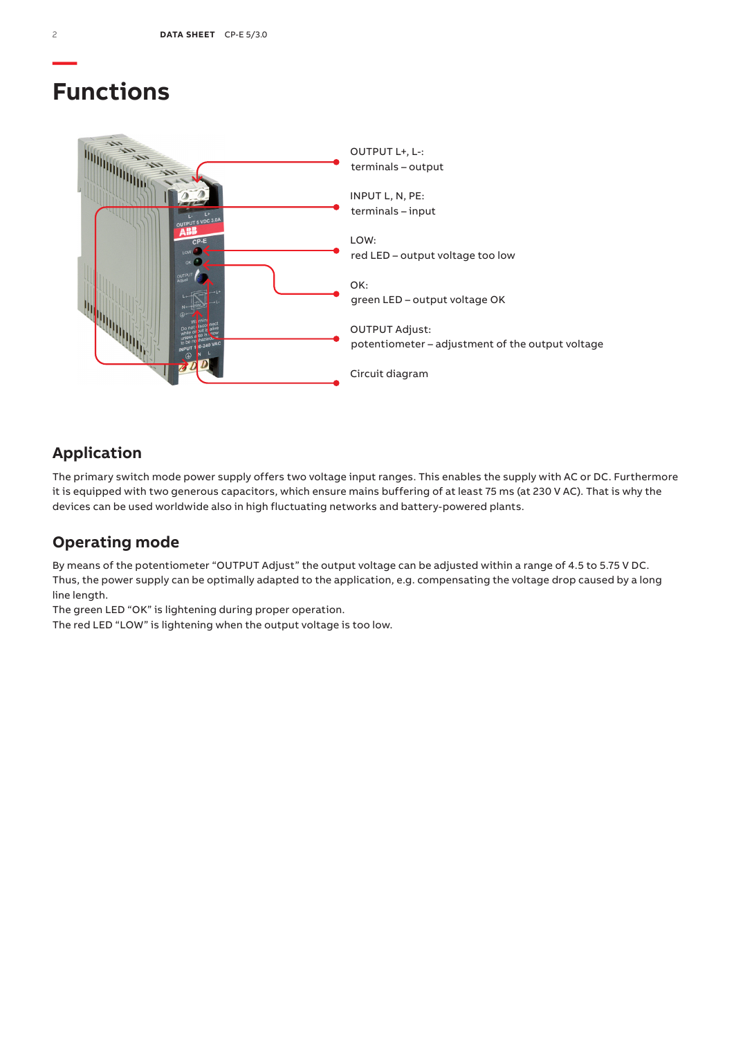## **Functions**



## **Application**

The primary switch mode power supply offers two voltage input ranges. This enables the supply with AC or DC. Furthermore it is equipped with two generous capacitors, which ensure mains buffering of at least 75 ms (at 230 V AC). That is why the devices can be used worldwide also in high fluctuating networks and battery-powered plants.

## **Operating mode**

By means of the potentiometer "OUTPUT Adjust" the output voltage can be adjusted within a range of 4.5 to 5.75 V DC. Thus, the power supply can be optimally adapted to the application, e.g. compensating the voltage drop caused by a long line length.

The green LED "OK" is lightening during proper operation.

The red LED "LOW" is lightening when the output voltage is too low.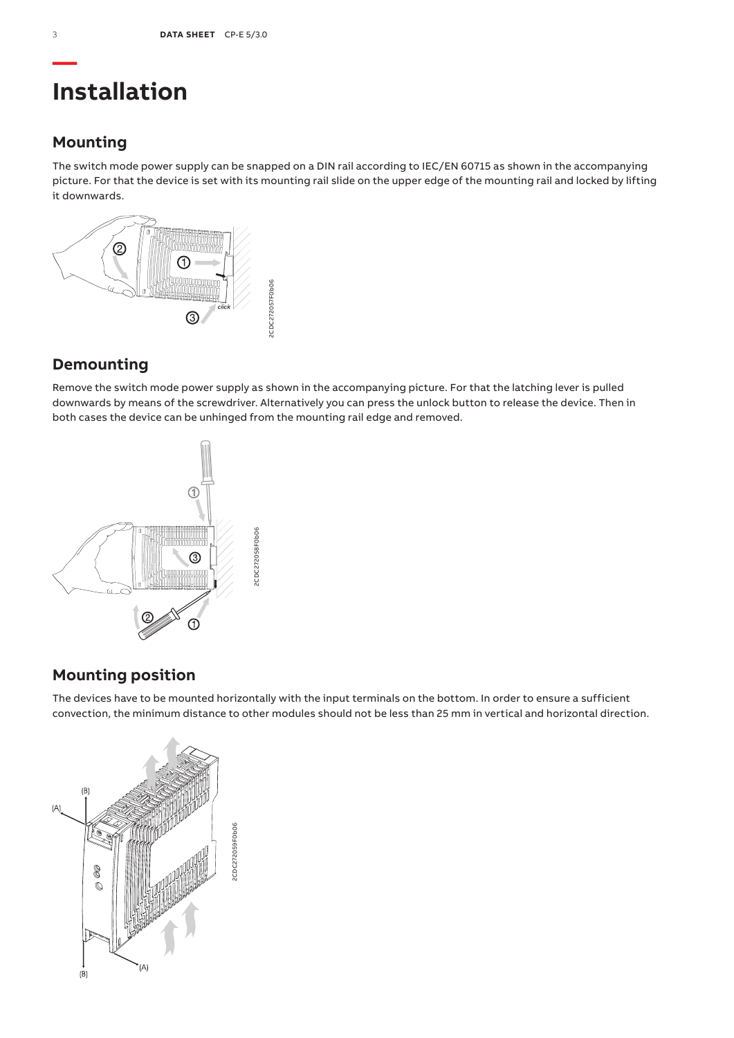# **Installation**

## **Mounting**

The switch mode power supply can be snapped on a DIN rail according to IEC/EN 60715 as shown in the accompanying picture. For that the device is set with its mounting rail slide on the upper edge of the mounting rail and locked by lifting it downwards.



## **Demounting**

Remove the switch mode power supply as shown in the accompanying picture. For that the latching lever is pulled downwards by means of the screwdriver. Alternatively you can press the unlock button to release the device. Then in both cases the device can be unhinged from the mounting rail edge and removed.



## **Mounting position**

The devices have to be mounted horizontally with the input terminals on the bottom. In order to ensure a sufficient convection, the minimum distance to other modules should not be less than 25 mm in vertical and horizontal direction.

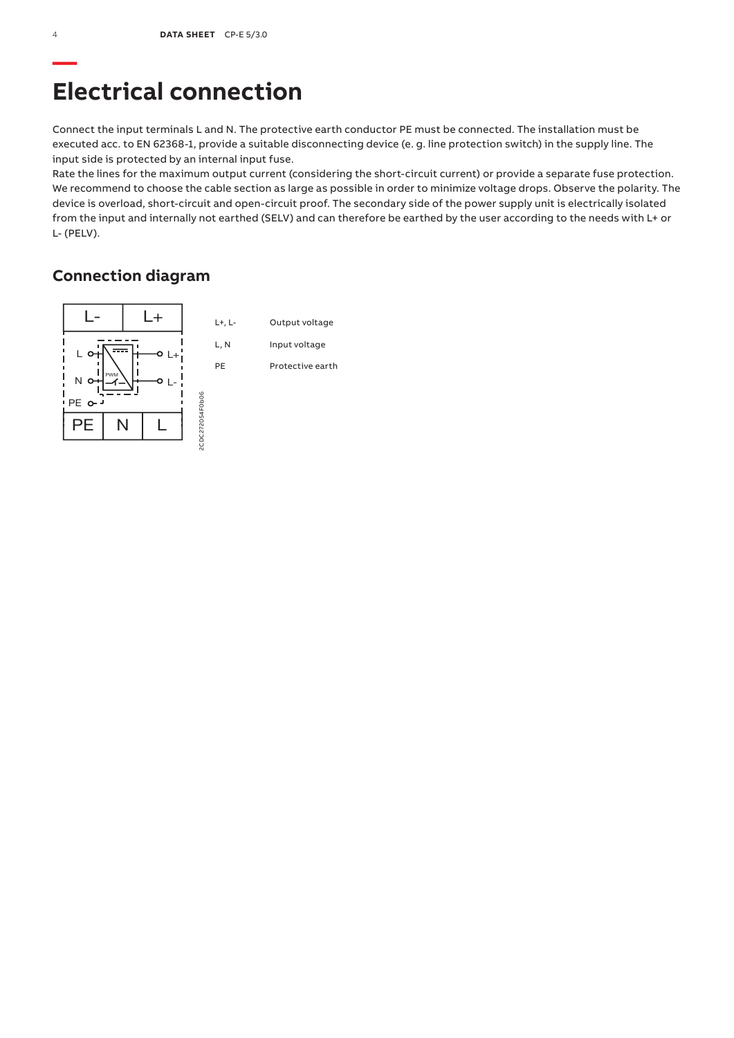# **Electrical connection**

Connect the input terminals L and N. The protective earth conductor PE must be connected. The installation must be executed acc. to EN 62368-1, provide a suitable disconnecting device (e. g. line protection switch) in the supply line. The input side is protected by an internal input fuse.

Rate the lines for the maximum output current (considering the short-circuit current) or provide a separate fuse protection. We recommend to choose the cable section as large as possible in order to minimize voltage drops. Observe the polarity. The device is overload, short-circuit and open-circuit proof. The secondary side of the power supply unit is electrically isolated from the input and internally not earthed (SELV) and can therefore be earthed by the user according to the needs with L+ or L‑ (PELV).

## **Connection diagram**

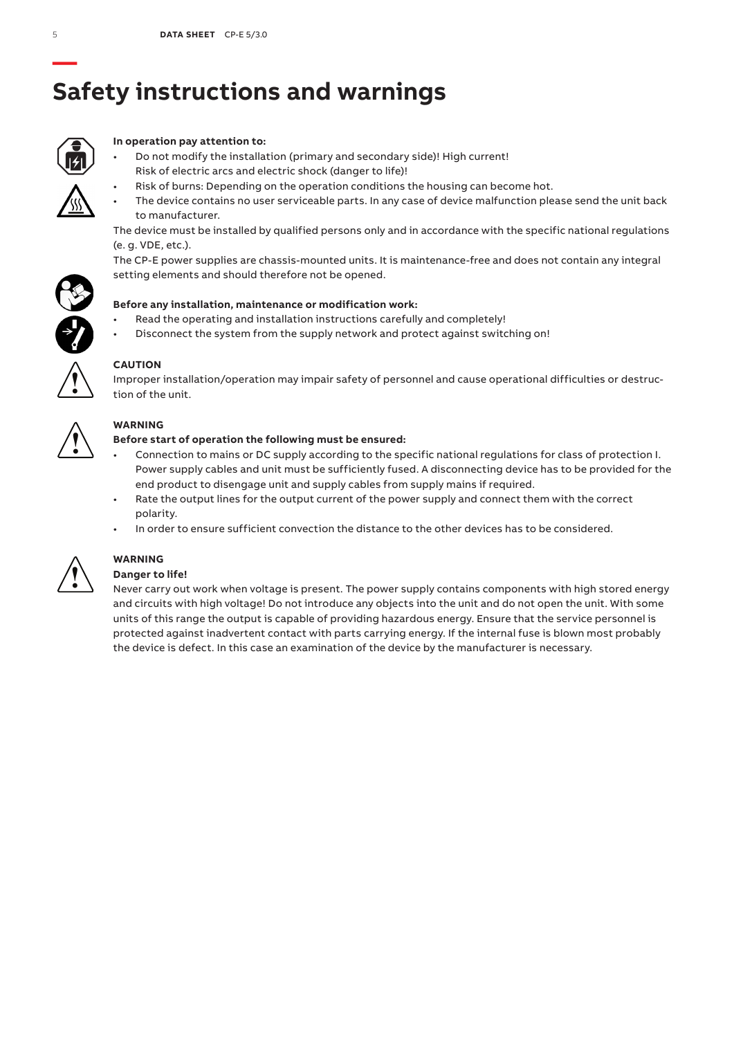# **— Safety instructions and warnings**



### **In operation pay attention to:**

- Do not modify the installation (primary and secondary side)! High current! Risk of electric arcs and electric shock (danger to life)!
	- Risk of burns: Depending on the operation conditions the housing can become hot.
- The device contains no user serviceable parts. In any case of device malfunction please send the unit back to manufacturer.

The device must be installed by qualified persons only and in accordance with the specific national regulations (e. g. VDE, etc.).

The CP-E power supplies are chassis-mounted units. It is maintenance-free and does not contain any integral setting elements and should therefore not be opened.



- Read the operating and installation instructions carefully and completely!
- Disconnect the system from the supply network and protect against switching on!



### **CAUTION**

Improper installation/operation may impair safety of personnel and cause operational difficulties or destruction of the unit.



### **WARNING**

### **Before start of operation the following must be ensured:**

- Connection to mains or DC supply according to the specific national regulations for class of protection I. Power supply cables and unit must be sufficiently fused. A disconnecting device has to be provided for the end product to disengage unit and supply cables from supply mains if required.
- Rate the output lines for the output current of the power supply and connect them with the correct polarity.
- In order to ensure sufficient convection the distance to the other devices has to be considered.



## **WARNING**

### **Danger to life!**

Never carry out work when voltage is present. The power supply contains components with high stored energy and circuits with high voltage! Do not introduce any objects into the unit and do not open the unit. With some units of this range the output is capable of providing hazardous energy. Ensure that the service personnel is protected against inadvertent contact with parts carrying energy. If the internal fuse is blown most probably the device is defect. In this case an examination of the device by the manufacturer is necessary.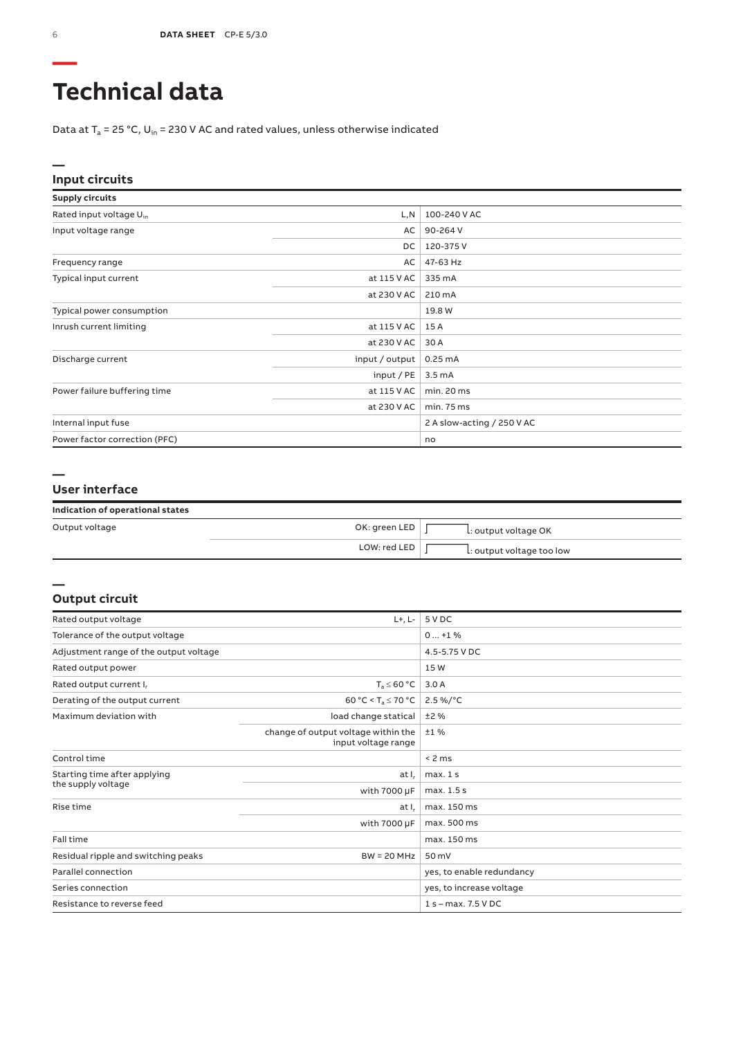# **Technical data**

Data at  $T_a$  = 25 °C, U<sub>in</sub> = 230 V AC and rated values, unless otherwise indicated

### **— Input circuits**

| <b>Supply circuits</b>              |                |                            |
|-------------------------------------|----------------|----------------------------|
| Rated input voltage U <sub>in</sub> | L,N            | 100-240 V AC               |
| Input voltage range                 | AC             | 90-264 V                   |
|                                     | DC             | 120-375V                   |
| Frequency range                     | AC             | 47-63 Hz                   |
| Typical input current               | at 115 V AC    | 335 mA                     |
|                                     | at 230 V AC    | 210 mA                     |
| Typical power consumption           |                | 19.8 W                     |
| Inrush current limiting             | at 115 V AC    | 15 A                       |
|                                     | at 230 V AC    | 30 A                       |
| Discharge current                   | input / output | 0.25mA                     |
|                                     | input/PE       | 3.5 <sub>m</sub> A         |
| Power failure buffering time        | at 115 V AC    | min. 20 ms                 |
|                                     | at 230 V AC    | min. 75 ms                 |
| Internal input fuse                 |                | 2 A slow-acting / 250 V AC |
| Power factor correction (PFC)       |                | no                         |

#### **—**

**—**

### **User interface**

| Indication of operational states |  |  |  |  |
|----------------------------------|--|--|--|--|
|----------------------------------|--|--|--|--|

| Output voltage | OK: green LED | L: output voltage OK      |
|----------------|---------------|---------------------------|
|                | LOW: red LED  | L: output voltage too low |

#### **Output circuit**

| Rated output voltage                   | $L+, L-$                                                   | 5 V DC                    |
|----------------------------------------|------------------------------------------------------------|---------------------------|
| Tolerance of the output voltage        |                                                            | $0+1\%$                   |
| Adjustment range of the output voltage |                                                            | 4.5-5.75 V DC             |
| Rated output power                     |                                                            | 15W                       |
| Rated output current I,                | $T_a \leq 60 °C$                                           | 3.0A                      |
| Derating of the output current         | 60 °C < T <sub>a</sub> $\leq$ 70 °C                        | 2.5 %/°C                  |
| Maximum deviation with                 | load change statical                                       | ±2%                       |
|                                        | change of output voltage within the<br>input voltage range | ±1%                       |
| Control time                           |                                                            | < 2 ms                    |
| Starting time after applying           | at I.                                                      | max.1s                    |
| the supply voltage                     | with 7000 µF                                               | max. 1.5 s                |
| Rise time                              | at I.                                                      | max. 150 ms               |
|                                        | with 7000 µF                                               | max. 500 ms               |
| Fall time                              |                                                            | max. 150 ms               |
| Residual ripple and switching peaks    | $BW = 20 MHz$                                              | 50 mV                     |
| Parallel connection                    |                                                            | yes, to enable redundancy |
| Series connection                      |                                                            | yes, to increase voltage  |
| Resistance to reverse feed             |                                                            | $1 s - max. 7.5 VDC$      |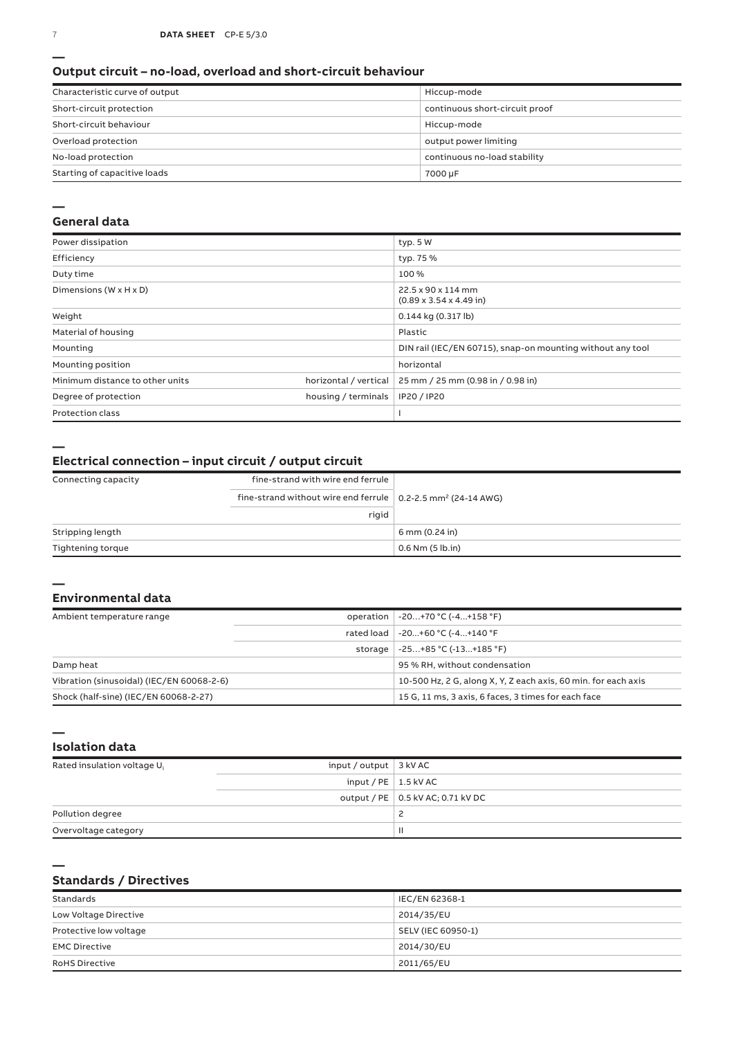#### **Output circuit – no-load, overload and short-circuit behaviour**

| Characteristic curve of output | Hiccup-mode                    |
|--------------------------------|--------------------------------|
| Short-circuit protection       | continuous short-circuit proof |
| Short-circuit behaviour        | Hiccup-mode                    |
| Overload protection            | output power limiting          |
| No-load protection             | continuous no-load stability   |
| Starting of capacitive loads   | 7000 µF                        |

#### **—**

### **General data**

| Power dissipation                    |                       | typ. 5 W                                                   |
|--------------------------------------|-----------------------|------------------------------------------------------------|
| Efficiency                           |                       | typ. 75 %                                                  |
| Duty time                            |                       | 100 %                                                      |
| Dimensions ( $W \times H \times D$ ) |                       | 22.5 x 90 x 114 mm<br>$(0.89 \times 3.54 \times 4.49)$ in  |
| Weight                               |                       | $0.144$ kg (0.317 lb)                                      |
| Material of housing                  |                       | Plastic                                                    |
| Mounting                             |                       | DIN rail (IEC/EN 60715), snap-on mounting without any tool |
| Mounting position                    |                       | horizontal                                                 |
| Minimum distance to other units      | horizontal / vertical | 25 mm / 25 mm (0.98 in / 0.98 in)                          |
| Degree of protection                 | housing / terminals   | IP20 / IP20                                                |
| <b>Protection class</b>              |                       |                                                            |

**—**

### **Electrical connection – input circuit / output circuit**

| Connecting capacity | fine-strand with wire end ferrule                                                |                      |
|---------------------|----------------------------------------------------------------------------------|----------------------|
|                     | fine-strand without wire end ferrule $\vert$ 0.2-2.5 mm <sup>2</sup> (24-14 AWG) |                      |
|                     | rigid                                                                            |                      |
| Stripping length    |                                                                                  | 6 mm (0.24 in)       |
| Tightening torque   |                                                                                  | $0.6$ Nm $(5$ lb.in) |

### **— Environmental data**

| Ambient temperature range                 |         | operation   -20+70 °C (-4+158 °F)                              |
|-------------------------------------------|---------|----------------------------------------------------------------|
|                                           |         | rated load   -20+60 °C (-4+140 °F                              |
|                                           | storage | -25+85 °C (-13+185 °F)                                         |
| Damp heat                                 |         | 95 % RH, without condensation                                  |
| Vibration (sinusoidal) (IEC/EN 60068-2-6) |         | 10-500 Hz, 2 G, along X, Y, Z each axis, 60 min. for each axis |
| Shock (half-sine) (IEC/EN 60068-2-27)     |         | 15 G, 11 ms, 3 axis, 6 faces, 3 times for each face            |

**Isolation data**

**—**

**—**

| Rated insulation voltage U <sub>i</sub> | input / output $\vert$ 3 kV AC |                                     |
|-----------------------------------------|--------------------------------|-------------------------------------|
|                                         | input / PE $\vert$ 1.5 kV AC   |                                     |
|                                         |                                | output / PE   0.5 kV AC; 0.71 kV DC |
| Pollution degree                        |                                |                                     |
| Overvoltage category                    |                                | Ш                                   |

### **Standards / Directives**

| Standards              | IEC/EN 62368-1     |
|------------------------|--------------------|
| Low Voltage Directive  | 2014/35/EU         |
| Protective low voltage | SELV (IEC 60950-1) |
| <b>EMC Directive</b>   | 2014/30/EU         |
| <b>RoHS Directive</b>  | 2011/65/EU         |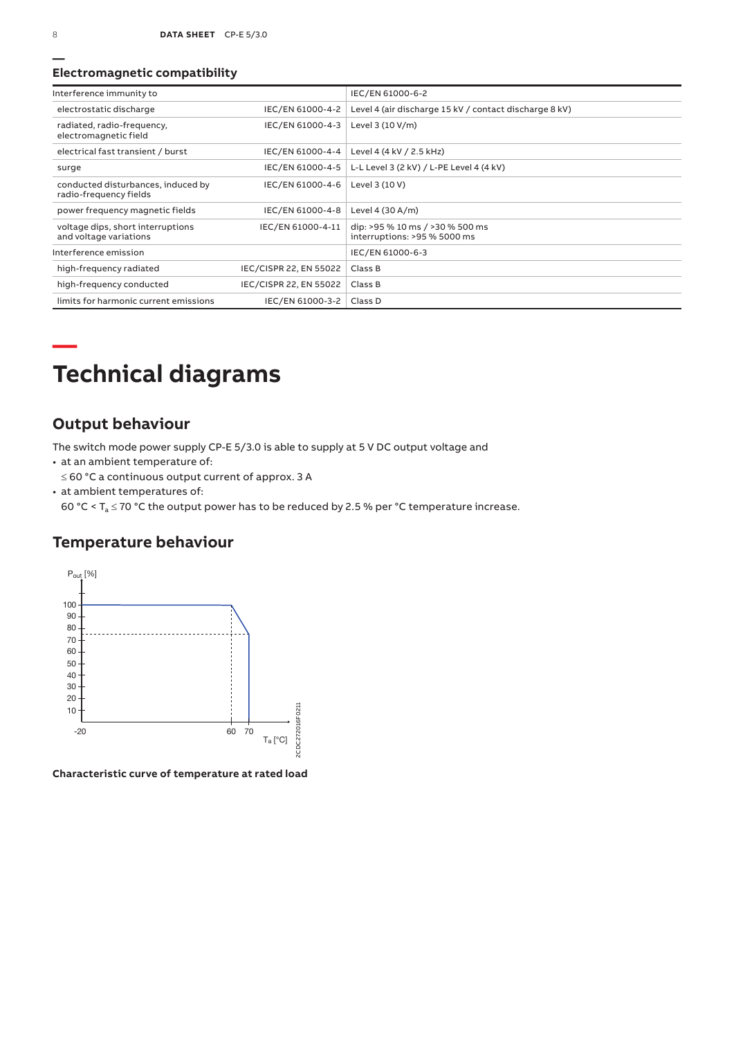### **Electromagnetic compatibility**

| Interference immunity to                                     |                        | IEC/EN 61000-6-2                                                |
|--------------------------------------------------------------|------------------------|-----------------------------------------------------------------|
| electrostatic discharge                                      | IEC/EN 61000-4-2       | Level 4 (air discharge 15 kV / contact discharge 8 kV)          |
| radiated, radio-frequency,<br>electromagnetic field          | IEC/EN 61000-4-3       | Level 3 (10 V/m)                                                |
| electrical fast transient / burst                            | IEC/EN 61000-4-4       | Level 4 (4 kV / 2.5 kHz)                                        |
| surge                                                        | IEC/EN 61000-4-5       | L-L Level 3 (2 kV) / L-PE Level 4 (4 kV)                        |
| conducted disturbances, induced by<br>radio-frequency fields | IEC/EN 61000-4-6       | Level 3 (10 V)                                                  |
| power frequency magnetic fields                              | IEC/EN 61000-4-8       | Level 4 (30 A/m)                                                |
| voltage dips, short interruptions<br>and voltage variations  | IEC/EN 61000-4-11      | dip: >95 % 10 ms / >30 % 500 ms<br>interruptions: >95 % 5000 ms |
| Interference emission                                        |                        | IEC/EN 61000-6-3                                                |
| high-frequency radiated                                      | IEC/CISPR 22, EN 55022 | Class B                                                         |
| high-frequency conducted                                     | IEC/CISPR 22, EN 55022 | Class B                                                         |
| limits for harmonic current emissions                        | IEC/EN 61000-3-2       | Class D                                                         |

## **— Technical diagrams**

## **Output behaviour**

The switch mode power supply CP-E 5/3.0 is able to supply at 5 V DC output voltage and

- at an ambient temperature of:
- ≤ 60 °C a continuous output current of approx. 3 A
- at ambient temperatures of:

60 °C <  $T_a \le 70$  °C the output power has to be reduced by 2.5 % per °C temperature increase.

### **Temperature behaviour**



**Characteristic curve of temperature at rated load**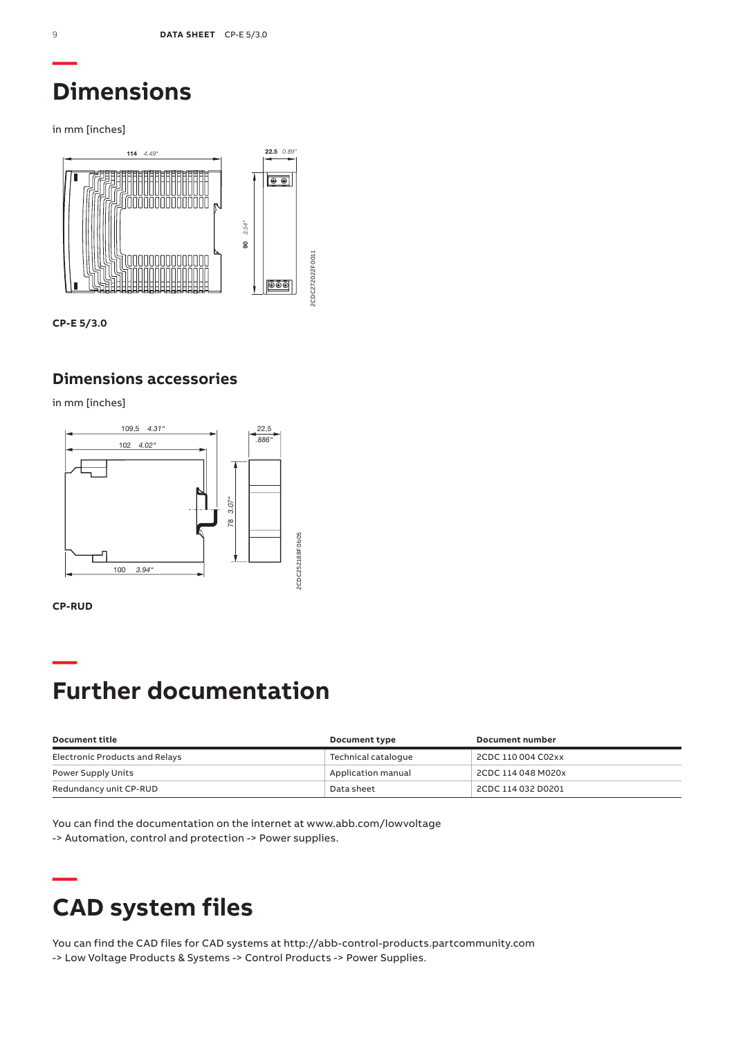## **Dimensions**

in mm [inches]



**CP-E 5/3.0**

## **Dimensions accessories**

in mm [inches]





## **— Further documentation**

| Document title                 | Document type       | Document number    |
|--------------------------------|---------------------|--------------------|
| Electronic Products and Relays | Technical cataloque | 2CDC 110 004 C02xx |
| Power Supply Units             | Application manual  | 2CDC 114 048 M020x |
| Redundancy unit CP-RUD         | Data sheet          | 2CDC 114 032 D0201 |

You can find the documentation on the internet at www.abb.com/lowvoltage -> Automation, control and protection -> Power supplies.

# **— CAD system files**

You can find the CAD files for CAD systems at http://abb-control-products.partcommunity.com -> Low Voltage Products & Systems -> Control Products -> Power Supplies.